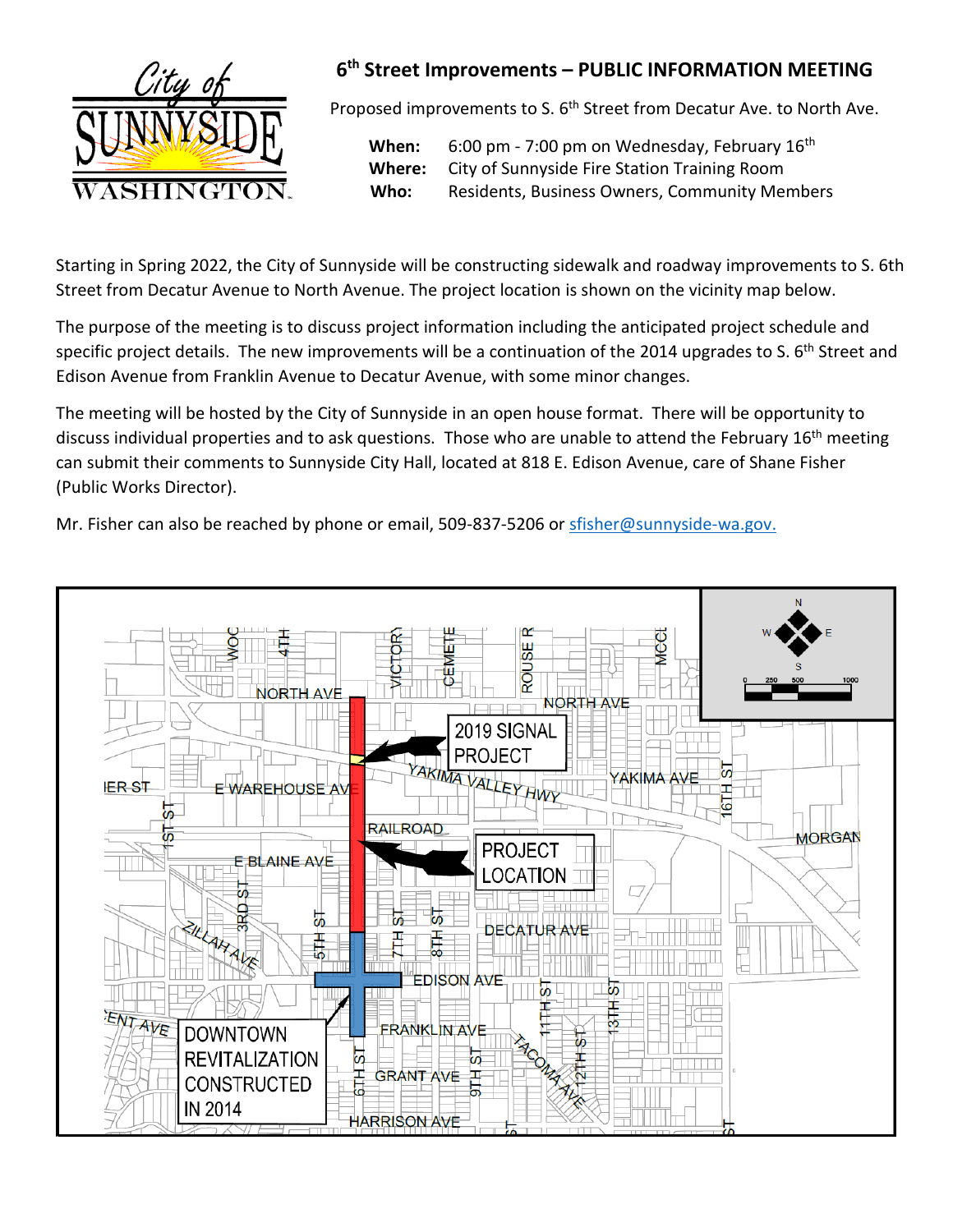

## **6 th Street Improvements – PUBLIC INFORMATION MEETING**

Proposed improvements to S. 6<sup>th</sup> Street from Decatur Ave. to North Ave.

When: 6:00 pm - 7:00 pm on Wednesday, February 16<sup>th</sup> **Where:** City of Sunnyside Fire Station Training Room  **Who:** Residents, Business Owners, Community Members

Starting in Spring 2022, the City of Sunnyside will be constructing sidewalk and roadway improvements to S. 6th Street from Decatur Avenue to North Avenue. The project location is shown on the vicinity map below.

The purpose of the meeting is to discuss project information including the anticipated project schedule and specific project details. The new improvements will be a continuation of the 2014 upgrades to S. 6<sup>th</sup> Street and Edison Avenue from Franklin Avenue to Decatur Avenue, with some minor changes.

The meeting will be hosted by the City of Sunnyside in an open house format. There will be opportunity to discuss individual properties and to ask questions. Those who are unable to attend the February 16<sup>th</sup> meeting can submit their comments to Sunnyside City Hall, located at 818 E. Edison Avenue, care of Shane Fisher (Public Works Director).

Mr. Fisher can also be reached by phone or email, 509-837-5206 or [sfisher@sunnyside-wa.gov.](mailto:sfisher@sunnyside-wa.gov)